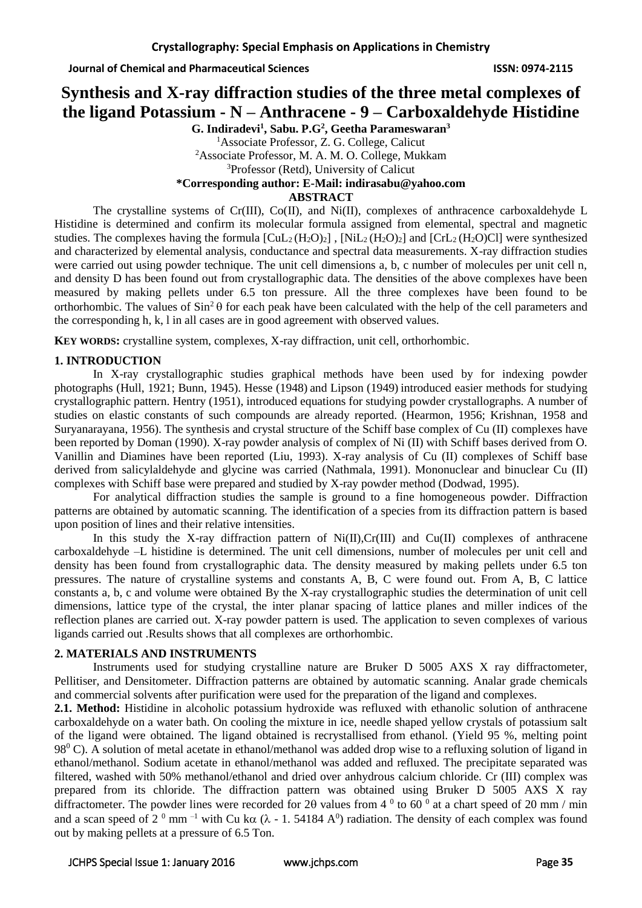# **Synthesis and X-ray diffraction studies of the three metal complexes of the ligand Potassium - N – Anthracene - 9 – Carboxaldehyde Histidine**

**G. Indiradevi<sup>1</sup> , Sabu. P.G<sup>2</sup> , Geetha Parameswaran<sup>3</sup>** <sup>1</sup>Associate Professor, Z. G. College, Calicut <sup>2</sup>Associate Professor, M. A. M. O. College, Mukkam <sup>3</sup>Professor (Retd), University of Calicut **\*Corresponding author: E-Mail: indirasabu@yahoo.com ABSTRACT**

The crystalline systems of Cr(III), Co(II), and Ni(II), complexes of anthracence carboxaldehyde L Histidine is determined and confirm its molecular formula assigned from elemental, spectral and magnetic studies. The complexes having the formula  $\text{[CuL}_2(\text{H}_2\text{O})_2]$ ,  $\text{[NiL}_2(\text{H}_2\text{O})_2]$  and  $\text{[CrL}_2(\text{H}_2\text{O})_2]$  were synthesized and characterized by elemental analysis, conductance and spectral data measurements. X-ray diffraction studies were carried out using powder technique. The unit cell dimensions a, b, c number of molecules per unit cell n, and density D has been found out from crystallographic data. The densities of the above complexes have been measured by making pellets under 6.5 ton pressure. All the three complexes have been found to be orthorhombic. The values of  $\sin^2 \theta$  for each peak have been calculated with the help of the cell parameters and the corresponding h, k, l in all cases are in good agreement with observed values.

**KEY WORDS:** crystalline system, complexes, X-ray diffraction, unit cell, orthorhombic.

# **1. INTRODUCTION**

In X-ray crystallographic studies graphical methods have been used by for indexing powder photographs (Hull, 1921; Bunn, 1945). Hesse (1948) and Lipson (1949) introduced easier methods for studying crystallographic pattern. Hentry (1951), introduced equations for studying powder crystallographs. A number of studies on elastic constants of such compounds are already reported. (Hearmon, 1956; Krishnan, 1958 and Suryanarayana, 1956). The synthesis and crystal structure of the Schiff base complex of Cu (II) complexes have been reported by Doman (1990). X-ray powder analysis of complex of Ni (II) with Schiff bases derived from O. Vanillin and Diamines have been reported (Liu, 1993). X-ray analysis of Cu (II) complexes of Schiff base derived from salicylaldehyde and glycine was carried (Nathmala, 1991). Mononuclear and binuclear Cu (II) complexes with Schiff base were prepared and studied by X-ray powder method (Dodwad, 1995).

For analytical diffraction studies the sample is ground to a fine homogeneous powder. Diffraction patterns are obtained by automatic scanning. The identification of a species from its diffraction pattern is based upon position of lines and their relative intensities.

In this study the X-ray diffraction pattern of Ni(II), Cr(III) and Cu(II) complexes of anthracene carboxaldehyde –L histidine is determined. The unit cell dimensions, number of molecules per unit cell and density has been found from crystallographic data. The density measured by making pellets under 6.5 ton pressures. The nature of crystalline systems and constants A, B, C were found out. From A, B, C lattice constants a, b, c and volume were obtained By the X-ray crystallographic studies the determination of unit cell dimensions, lattice type of the crystal, the inter planar spacing of lattice planes and miller indices of the reflection planes are carried out. X-ray powder pattern is used. The application to seven complexes of various ligands carried out .Results shows that all complexes are orthorhombic.

# **2. MATERIALS AND INSTRUMENTS**

Instruments used for studying crystalline nature are Bruker D 5005 AXS X ray diffractometer, Pellitiser, and Densitometer. Diffraction patterns are obtained by automatic scanning. Analar grade chemicals and commercial solvents after purification were used for the preparation of the ligand and complexes.

**2.1. Method:** Histidine in alcoholic potassium hydroxide was refluxed with ethanolic solution of anthracene carboxaldehyde on a water bath. On cooling the mixture in ice, needle shaped yellow crystals of potassium salt of the ligand were obtained. The ligand obtained is recrystallised from ethanol. (Yield 95 %, melting point 98<sup>0</sup> C). A solution of metal acetate in ethanol/methanol was added drop wise to a refluxing solution of ligand in ethanol/methanol. Sodium acetate in ethanol/methanol was added and refluxed. The precipitate separated was filtered, washed with 50% methanol/ethanol and dried over anhydrous calcium chloride. Cr (III) complex was prepared from its chloride. The diffraction pattern was obtained using Bruker D 5005 AXS X ray diffractometer. The powder lines were recorded for 20 values from 4  $^{\circ}$  to 60  $^{\circ}$  at a chart speed of 20 mm / min and a scan speed of 2<sup>0</sup> mm<sup>-1</sup> with Cu k $\alpha$  ( $\lambda$  - 1. 54184 A<sup>0</sup>) radiation. The density of each complex was found out by making pellets at a pressure of 6.5 Ton.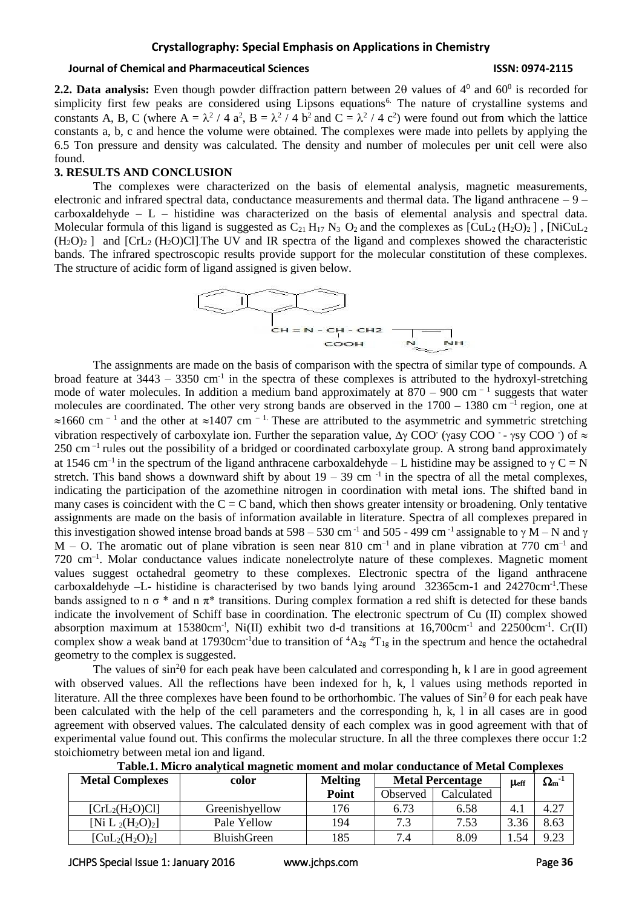# **Crystallography: Special Emphasis on Applications in Chemistry**

### **Journal of Chemical and Pharmaceutical Sciences ISSN: 0974-2115**

**2.2. Data analysis:** Even though powder diffraction pattern between 20 values of  $4^0$  and  $60^0$  is recorded for simplicity first few peaks are considered using Lipsons equations<sup>6.</sup> The nature of crystalline systems and constants A, B, C (where  $A = \lambda^2 / 4 a^2$ ,  $B = \lambda^2 / 4 b^2$  and  $C = \lambda^2 / 4 c^2$ ) were found out from which the lattice constants a, b, c and hence the volume were obtained. The complexes were made into pellets by applying the 6.5 Ton pressure and density was calculated. The density and number of molecules per unit cell were also found.

### **3. RESULTS AND CONCLUSION**

The complexes were characterized on the basis of elemental analysis, magnetic measurements, electronic and infrared spectral data, conductance measurements and thermal data. The ligand anthracene – 9 – carboxaldehyde – L – histidine was characterized on the basis of elemental analysis and spectral data. Molecular formula of this ligand is suggested as  $C_{21} H_{17} N_3 O_2$  and the complexes as  $\text{[CuL}_2 \text{H}_2\text{O}_2\text{]}$ ,  $\text{[NiCuL}_2$  $(H_2O)_2$  ] and  $[CrL_2 (H_2O)Cl]$ . The UV and IR spectra of the ligand and complexes showed the characteristic bands. The infrared spectroscopic results provide support for the molecular constitution of these complexes. The structure of acidic form of ligand assigned is given below.



The assignments are made on the basis of comparison with the spectra of similar type of compounds. A broad feature at  $3443 - 3350$  cm<sup>-1</sup> in the spectra of these complexes is attributed to the hydroxyl-stretching mode of water molecules. In addition a medium band approximately at  $870 - 900$  cm<sup>-1</sup> suggests that water molecules are coordinated. The other very strong bands are observed in the  $1700 - 1380$  cm<sup>-1</sup> region, one at  $\approx 1660$  cm<sup>-1</sup> and the other at  $\approx 1407$  cm<sup>-1.</sup> These are attributed to the asymmetric and symmetric stretching vibration respectively of carboxylate ion. Further the separation value,  $\Delta y$  COO (yasy COO - ysy COO ) of  $\approx$ 250 cm –1 rules out the possibility of a bridged or coordinated carboxylate group. A strong band approximately at 1546 cm<sup>-1</sup> in the spectrum of the ligand anthracene carboxaldehyde – L histidine may be assigned to  $\gamma C = N$ stretch. This band shows a downward shift by about  $19 - 39$  cm<sup>-1</sup> in the spectra of all the metal complexes, indicating the participation of the azomethine nitrogen in coordination with metal ions. The shifted band in many cases is coincident with the  $C = C$  band, which then shows greater intensity or broadening. Only tentative assignments are made on the basis of information available in literature. Spectra of all complexes prepared in this investigation showed intense broad bands at 598 – 530 cm<sup>-1</sup> and 505 - 499 cm<sup>-1</sup> assignable to  $\gamma$  M – N and  $\gamma$  $M - O$ . The aromatic out of plane vibration is seen near 810 cm<sup>-1</sup> and in plane vibration at 770 cm<sup>-1</sup> and 720 cm<sup>-1</sup>. Molar conductance values indicate nonelectrolyte nature of these complexes. Magnetic moment values suggest octahedral geometry to these complexes. Electronic spectra of the ligand anthracene carboxaldehyde -L- histidine is characterised by two bands lying around 32365cm-1 and 24270cm<sup>-1</sup>. These bands assigned to n  $\sigma^*$  and n  $\pi^*$  transitions. During complex formation a red shift is detected for these bands indicate the involvement of Schiff base in coordination. The electronic spectrum of Cu (II) complex showed absorption maximum at  $15380 \text{cm}^{-1}$ , Ni(II) exhibit two d-d transitions at  $16,700 \text{cm}^{-1}$  and  $22500 \text{cm}^{-1}$ . Cr(II) complex show a weak band at 17930cm<sup>-1</sup>due to transition of  ${}^4A_{2g}$   ${}^4T_{1g}$  in the spectrum and hence the octahedral geometry to the complex is suggested.

The values of  $\sin^2\theta$  for each peak have been calculated and corresponding h, k l are in good agreement with observed values. All the reflections have been indexed for h, k, l values using methods reported in literature. All the three complexes have been found to be orthorhombic. The values of  $\sin^2\theta$  for each peak have been calculated with the help of the cell parameters and the corresponding h, k, l in all cases are in good agreement with observed values. The calculated density of each complex was in good agreement with that of experimental value found out. This confirms the molecular structure. In all the three complexes there occur 1:2 stoichiometry between metal ion and ligand.

| <b>Metal Complexes</b>                               | color          | <b>Melting</b> | <b>Metal Percentage</b> |            | $\mu_{\text{eff}}$ | $\Omega_{\rm m}{}^\text{-1}$ |
|------------------------------------------------------|----------------|----------------|-------------------------|------------|--------------------|------------------------------|
|                                                      |                | Point          | Observed                | Calculated |                    |                              |
| [ChL <sub>2</sub> (H <sub>2</sub> O)Cl]              | Greenishyellow | 176            | 6.73                    | 6.58       | 4.,                | 4.27                         |
| [Ni L <sub>2</sub> (H <sub>2</sub> O) <sub>2</sub> ] | Pale Yellow    | 194            | 7.3                     | 7.53       | 3.36               | 8.63                         |
| $[CuL2(H2O)2]$                                       | BluishGreen    | 185            | 7.4                     | 8.09       | . .54              | 9.23                         |